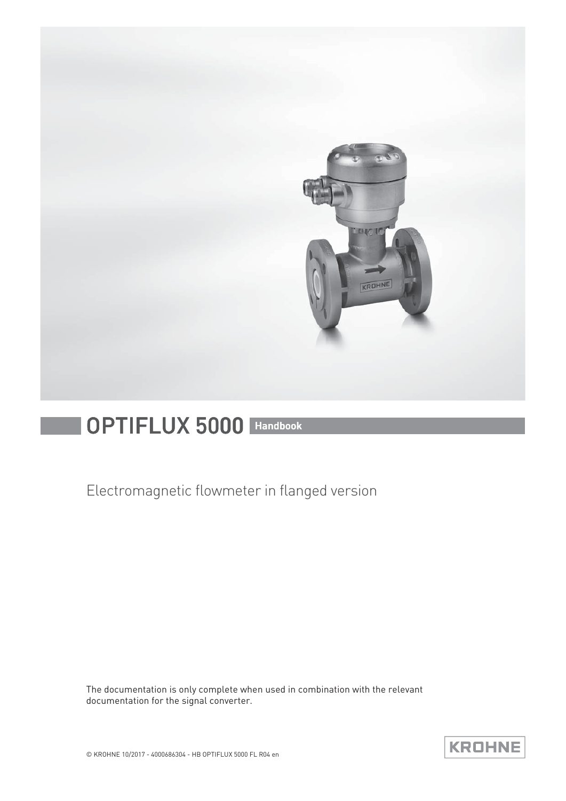

# OPTIFLUX 5000 Handbook

Electromagnetic flowmeter in flanged version

The documentation is only complete when used in combination with the relevant documentation for the signal converter.

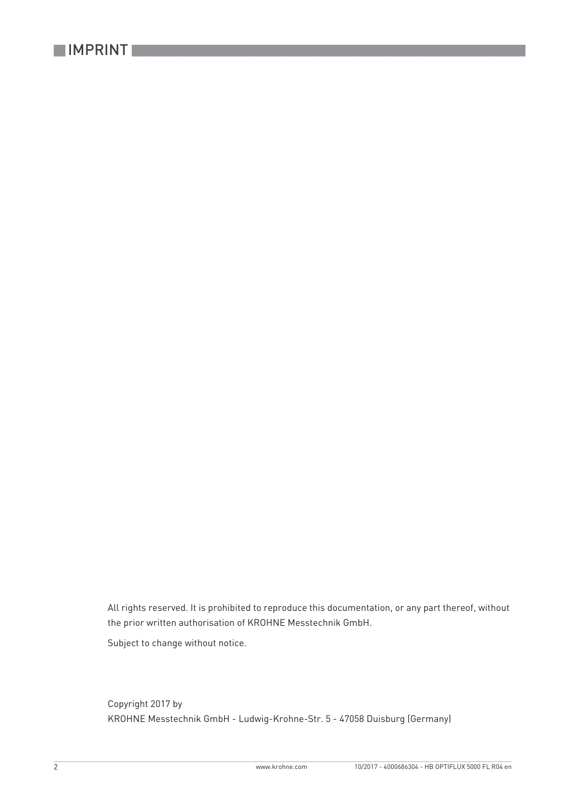

All rights reserved. It is prohibited to reproduce this documentation, or any part thereof, without the prior written authorisation of KROHNE Messtechnik GmbH.

Subject to change without notice.

Copyright 2017 by KROHNE Messtechnik GmbH - Ludwig-Krohne-Str. 5 - 47058 Duisburg (Germany)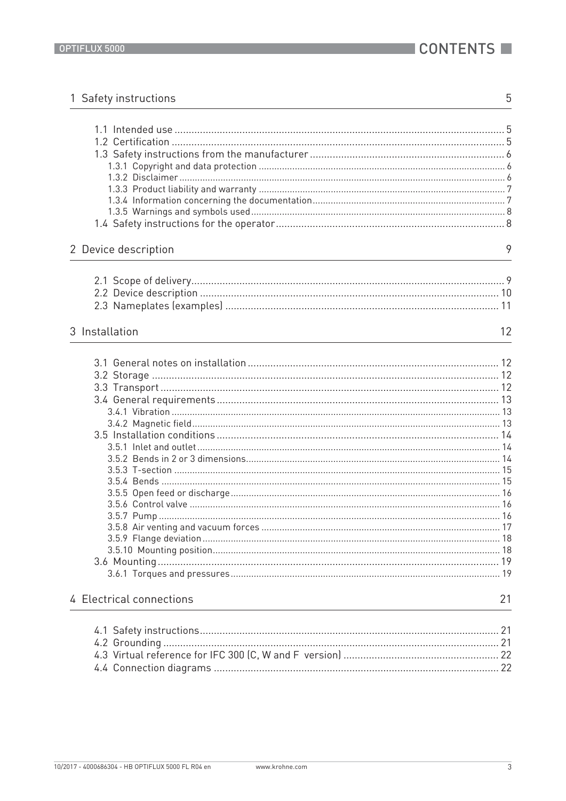| 1 Safety instructions    | 5  |
|--------------------------|----|
|                          |    |
|                          |    |
|                          |    |
|                          |    |
|                          |    |
|                          |    |
|                          |    |
|                          |    |
|                          |    |
| 2 Device description     | 9  |
|                          |    |
|                          |    |
|                          |    |
|                          |    |
| 3 Installation           | 12 |
|                          |    |
|                          |    |
|                          |    |
|                          |    |
|                          |    |
|                          |    |
|                          |    |
|                          |    |
|                          |    |
|                          |    |
|                          |    |
|                          |    |
|                          |    |
|                          |    |
|                          |    |
|                          |    |
|                          |    |
|                          |    |
|                          |    |
| 4 Electrical connections | 21 |
|                          |    |
|                          |    |
|                          |    |
|                          |    |
|                          |    |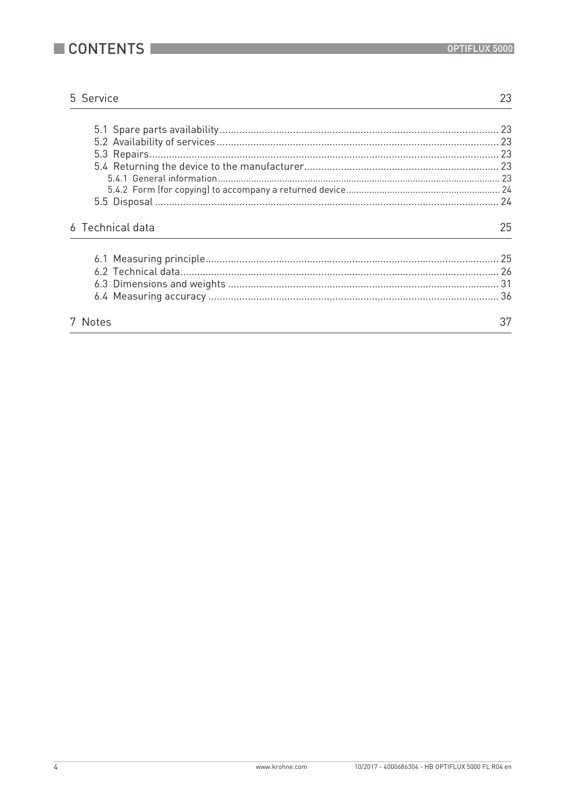

23

# 5 Service

| 6 Technical data | 25 |
|------------------|----|
|                  |    |
| 7 Notes          |    |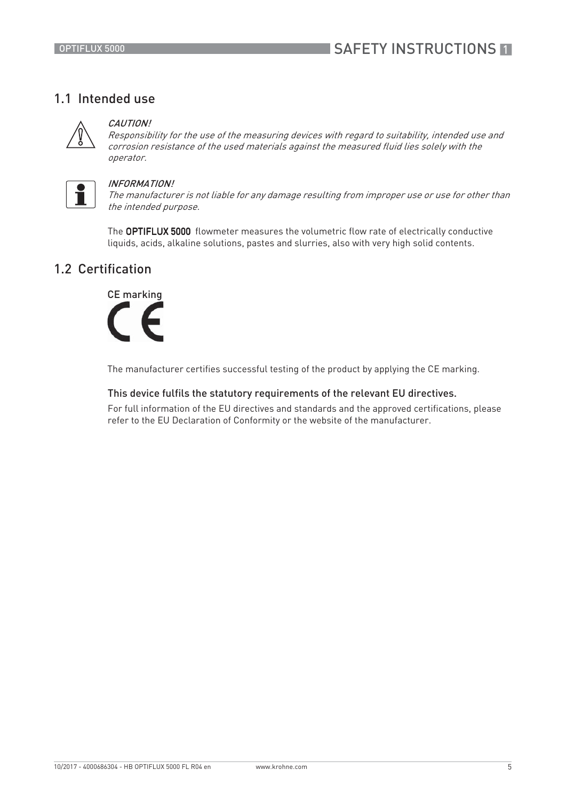# 1.1 Intended use



## **CAUTION!**

Responsibility for the use of the measuring devices with regard to suitability, intended use and corrosion resistance of the used materials against the measured fluid lies solely with the operator.



## INFORMATION!

The manufacturer is not liable for any damage resulting from improper use or use for other than the intended purpose.

The OPTIFLUX 5000 flowmeter measures the volumetric flow rate of electrically conductive liquids, acids, alkaline solutions, pastes and slurries, also with very high solid contents.

# 1.2 Certification



The manufacturer certifies successful testing of the product by applying the CE marking.

## This device fulfils the statutory requirements of the relevant EU directives.

For full information of the EU directives and standards and the approved certifications, please refer to the EU Declaration of Conformity or the website of the manufacturer.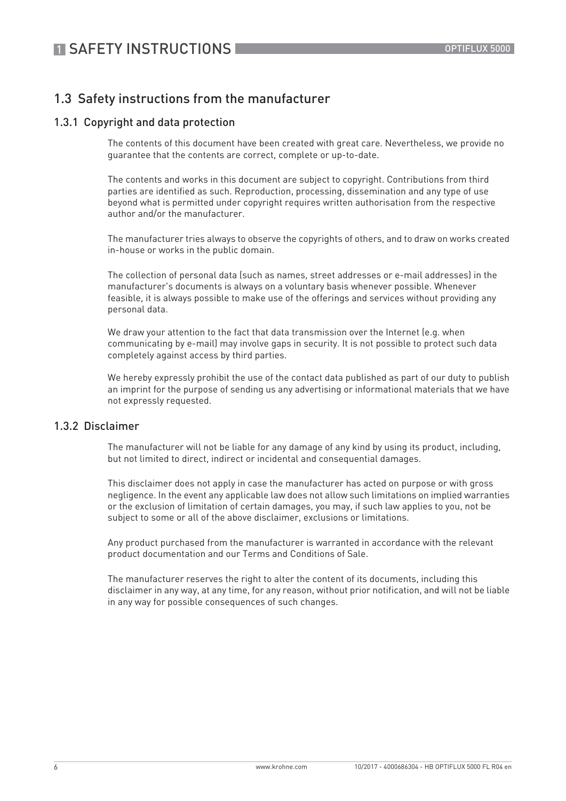# 1.3 Safety instructions from the manufacturer

## 1.3.1 Copyright and data protection

The contents of this document have been created with great care. Nevertheless, we provide no guarantee that the contents are correct, complete or up-to-date.

The contents and works in this document are subject to copyright. Contributions from third parties are identified as such. Reproduction, processing, dissemination and any type of use beyond what is permitted under copyright requires written authorisation from the respective author and/or the manufacturer.

The manufacturer tries always to observe the copyrights of others, and to draw on works created in-house or works in the public domain.

The collection of personal data (such as names, street addresses or e-mail addresses) in the manufacturer's documents is always on a voluntary basis whenever possible. Whenever feasible, it is always possible to make use of the offerings and services without providing any personal data.

We draw your attention to the fact that data transmission over the Internet (e.g. when communicating by e-mail) may involve gaps in security. It is not possible to protect such data completely against access by third parties.

We hereby expressly prohibit the use of the contact data published as part of our duty to publish an imprint for the purpose of sending us any advertising or informational materials that we have not expressly requested.

## 1.3.2 Disclaimer

The manufacturer will not be liable for any damage of any kind by using its product, including, but not limited to direct, indirect or incidental and consequential damages.

This disclaimer does not apply in case the manufacturer has acted on purpose or with gross negligence. In the event any applicable law does not allow such limitations on implied warranties or the exclusion of limitation of certain damages, you may, if such law applies to you, not be subject to some or all of the above disclaimer, exclusions or limitations.

Any product purchased from the manufacturer is warranted in accordance with the relevant product documentation and our Terms and Conditions of Sale.

The manufacturer reserves the right to alter the content of its documents, including this disclaimer in any way, at any time, for any reason, without prior notification, and will not be liable in any way for possible consequences of such changes.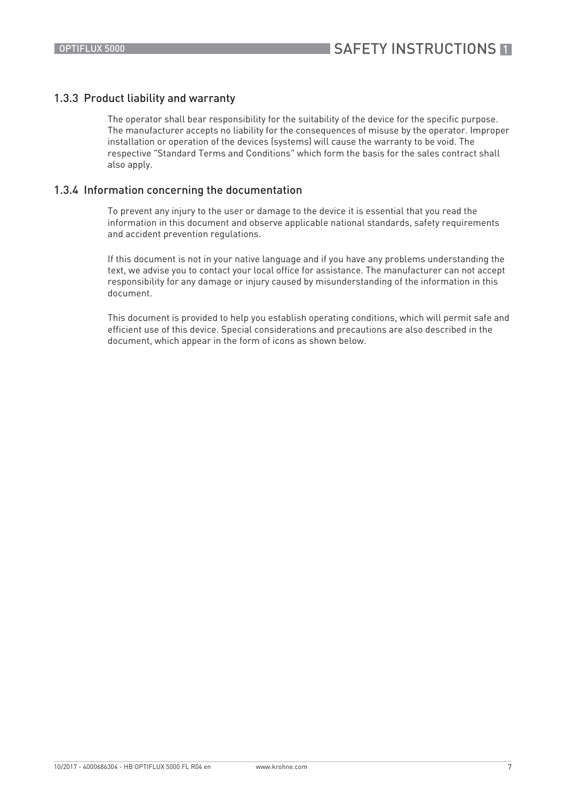## 1.3.3 Product liability and warranty

The operator shall bear responsibility for the suitability of the device for the specific purpose. The manufacturer accepts no liability for the consequences of misuse by the operator. Improper installation or operation of the devices (systems) will cause the warranty to be void. The respective "Standard Terms and Conditions" which form the basis for the sales contract shall also apply.

## 1.3.4 Information concerning the documentation

To prevent any injury to the user or damage to the device it is essential that you read the information in this document and observe applicable national standards, safety requirements and accident prevention regulations.

If this document is not in your native language and if you have any problems understanding the text, we advise you to contact your local office for assistance. The manufacturer can not accept responsibility for any damage or injury caused by misunderstanding of the information in this document.

This document is provided to help you establish operating conditions, which will permit safe and efficient use of this device. Special considerations and precautions are also described in the document, which appear in the form of icons as shown below.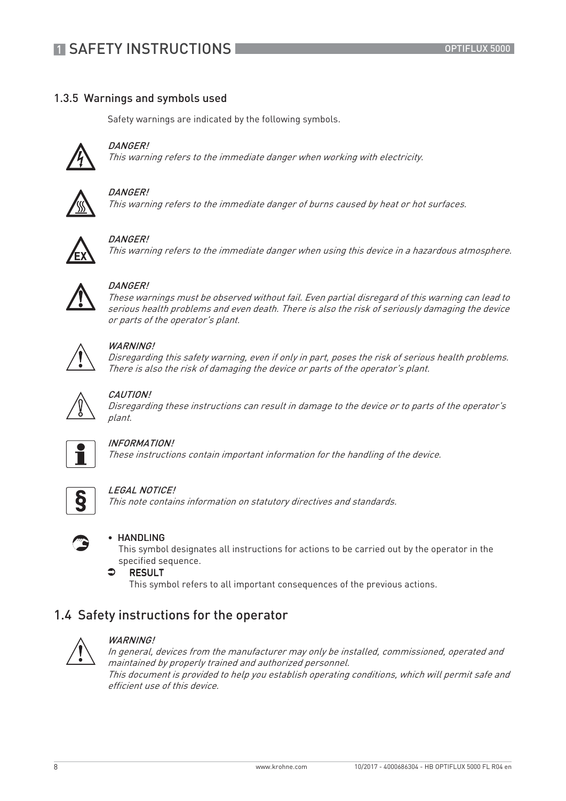# 1.3.5 Warnings and symbols used

Safety warnings are indicated by the following symbols.



This warning refers to the immediate danger when working with electricity.



## DANGER!

DANGER!

This warning refers to the immediate danger of burns caused by heat or hot surfaces.



## DANGER!

This warning refers to the immediate danger when using this device in a hazardous atmosphere.



## DANGER!

These warnings must be observed without fail. Even partial disregard of this warning can lead to serious health problems and even death. There is also the risk of seriously damaging the device or parts of the operator's plant.



## WARNING!

Disregarding this safety warning, even if only in part, poses the risk of serious health problems. There is also the risk of damaging the device or parts of the operator's plant.



## CAUTION!

Disregarding these instructions can result in damage to the device or to parts of the operator's plant.



## INFORMATION!

These instructions contain important information for the handling of the device.



## LEGAL NOTICE!

This note contains information on statutory directives and standards.



## • HANDLING

This symbol designates all instructions for actions to be carried out by the operator in the specified sequence.



This symbol refers to all important consequences of the previous actions.

# 1.4 Safety instructions for the operator



#### WARNING!

In general, devices from the manufacturer may only be installed, commissioned, operated and maintained by properly trained and authorized personnel. This document is provided to help you establish operating conditions, which will permit safe and efficient use of this device.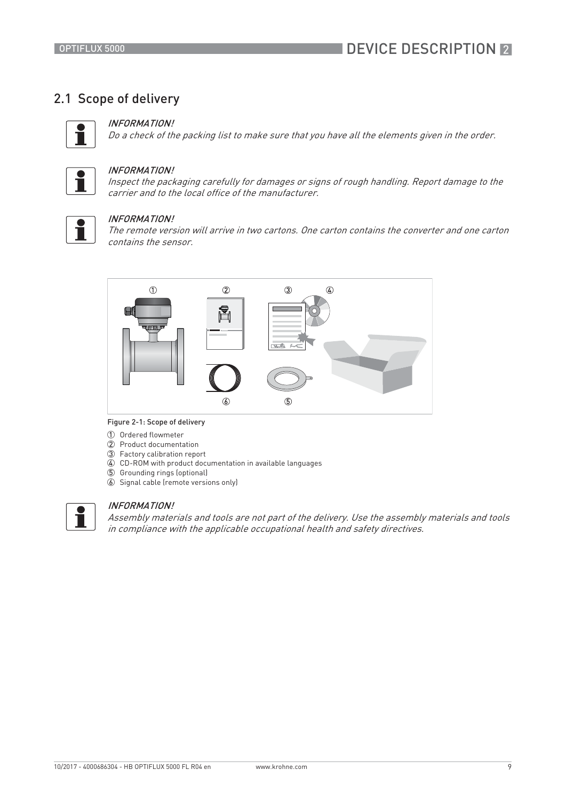# 2.1 Scope of delivery



## INFORMATION!

Do a check of the packing list to make sure that you have all the elements given in the order.



#### INFORMATION!

Inspect the packaging carefully for damages or signs of rough handling. Report damage to the carrier and to the local office of the manufacturer.



#### INFORMATION!

The remote version will arrive in two cartons. One carton contains the converter and one carton contains the sensor.



#### Figure 2-1: Scope of delivery

- 1 Ordered flowmeter
- 2 Product documentation
- 3 Factory calibration report
- 4 CD-ROM with product documentation in available languages
- 5 Grounding rings (optional)
- 6 Signal cable (remote versions only)



## INFORMATION!

Assembly materials and tools are not part of the delivery. Use the assembly materials and tools in compliance with the applicable occupational health and safety directives.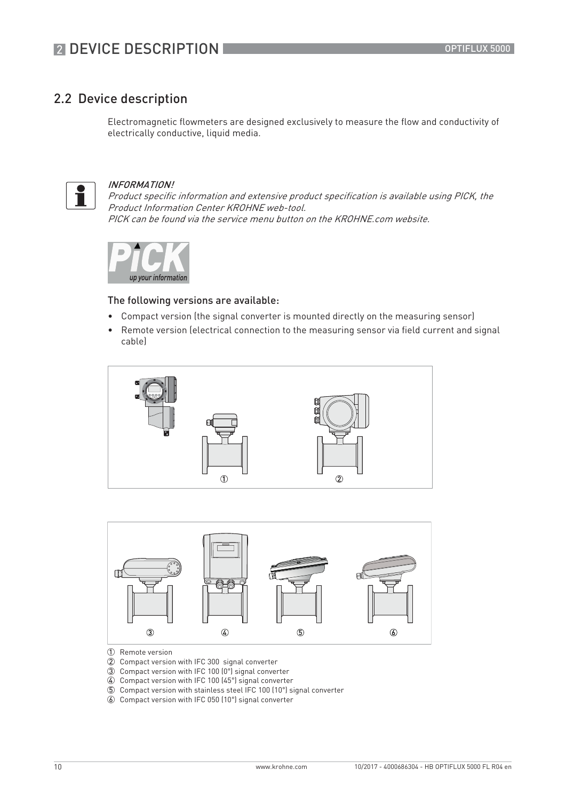# 2.2 Device description

Electromagnetic flowmeters are designed exclusively to measure the flow and conductivity of electrically conductive, liquid media.



## INFORMATION!

Product specific information and extensive product specification is available using PICK, the Product Information Center KROHNE web-tool. PICK can be found via the service menu button on the KROHNE.com website.



### The following versions are available:

- Compact version (the signal converter is mounted directly on the measuring sensor)
- Remote version (electrical connection to the measuring sensor via field current and signal cable)





- 1 Remote version
- 2 Compact version with IFC 300 signal converter
- 3 Compact version with IFC 100 (0°) signal converter
- 4 Compact version with IFC 100 (45°) signal converter
- 5 Compact version with stainless steel IFC 100 (10°) signal converter
- 6 Compact version with IFC 050 (10°) signal converter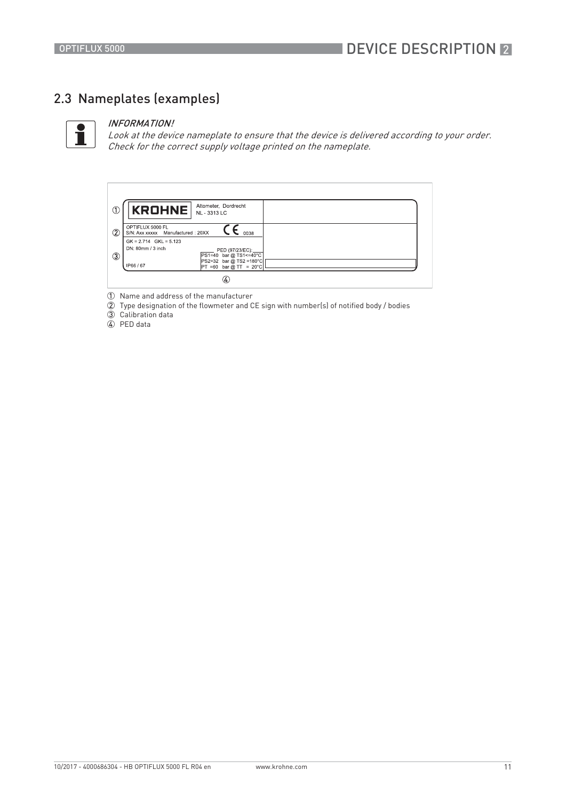# 2.3 Nameplates (examples)



#### INFORMATION!

Look at the device nameplate to ensure that the device is delivered according to your order. Check for the correct supply voltage printed on the nameplate.



1 Name and address of the manufacturer

2 Type designation of the flowmeter and CE sign with number(s) of notified body / bodies

3 Calibration data

4 PED data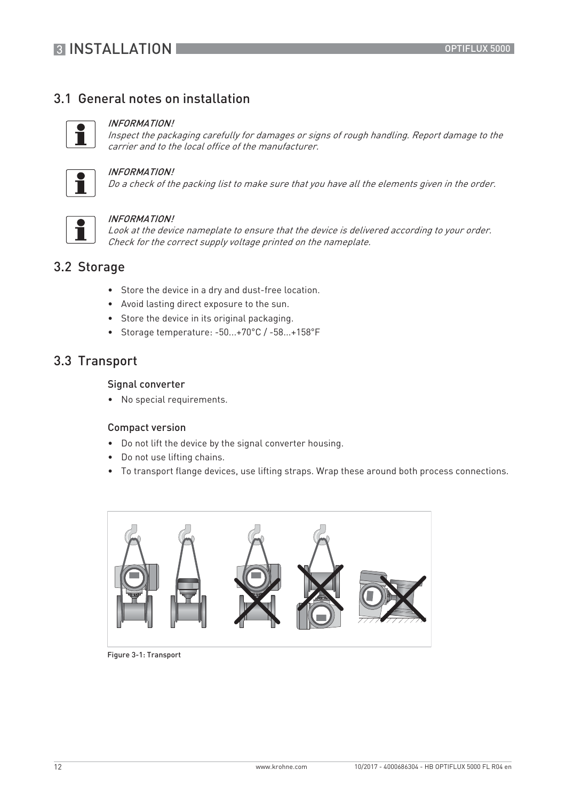# 3.1 General notes on installation



### INFORMATION!

Inspect the packaging carefully for damages or signs of rough handling. Report damage to the carrier and to the local office of the manufacturer.



## INFORMATION!

Do a check of the packing list to make sure that you have all the elements given in the order.



#### INFORMATION!

Look at the device nameplate to ensure that the device is delivered according to your order. Check for the correct supply voltage printed on the nameplate.

# 3.2 Storage

- Store the device in a dry and dust-free location.
- Avoid lasting direct exposure to the sun.
- Store the device in its original packaging.
- Storage temperature: -50...+70°C / -58...+158°F

# 3.3 Transport

## Signal converter

• No special requirements.

## Compact version

- Do not lift the device by the signal converter housing.
- Do not use lifting chains.
- To transport flange devices, use lifting straps. Wrap these around both process connections.



Figure 3-1: Transport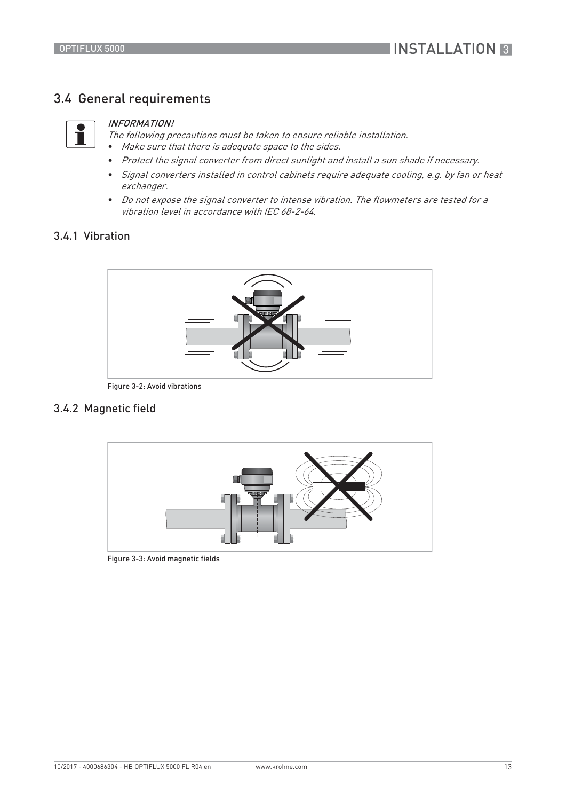# 3.4 General requirements



#### INFORMATION!

The following precautions must be taken to ensure reliable installation. • Make sure that there is adequate space to the sides.

- Protect the signal converter from direct sunlight and install a sun shade if necessary.
- Signal converters installed in control cabinets require adequate cooling, e.g. by fan or heat exchanger.
- Do not expose the signal converter to intense vibration. The flowmeters are tested for a vibration level in accordance with IEC 68-2-64.

# 3.4.1 Vibration



Figure 3-2: Avoid vibrations

## 3.4.2 Magnetic field



Figure 3-3: Avoid magnetic fields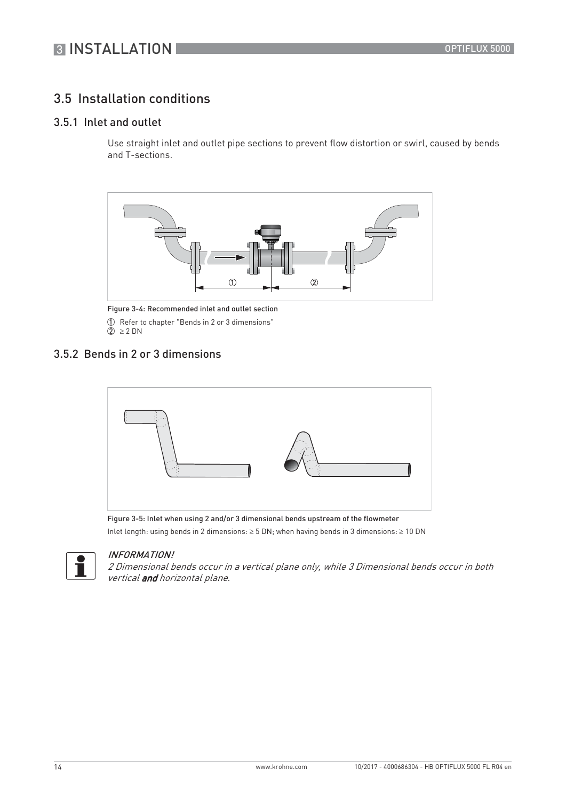# **3 INSTALLATION**

# 3.5 Installation conditions

# 3.5.1 Inlet and outlet

Use straight inlet and outlet pipe sections to prevent flow distortion or swirl, caused by bends and T-sections.



Figure 3-4: Recommended inlet and outlet section 1 Refer to chapter "Bends in 2 or 3 dimensions"  $\overline{2}$   $\geq$  2 DN

## 3.5.2 Bends in 2 or 3 dimensions



Figure 3-5: Inlet when using 2 and/or 3 dimensional bends upstream of the flowmeter

Inlet length: using bends in 2 dimensions:  $\geq$  5 DN; when having bends in 3 dimensions:  $\geq$  10 DN



## INFORMATION!

2 Dimensional bends occur in a vertical plane only, while 3 Dimensional bends occur in both vertical and horizontal plane.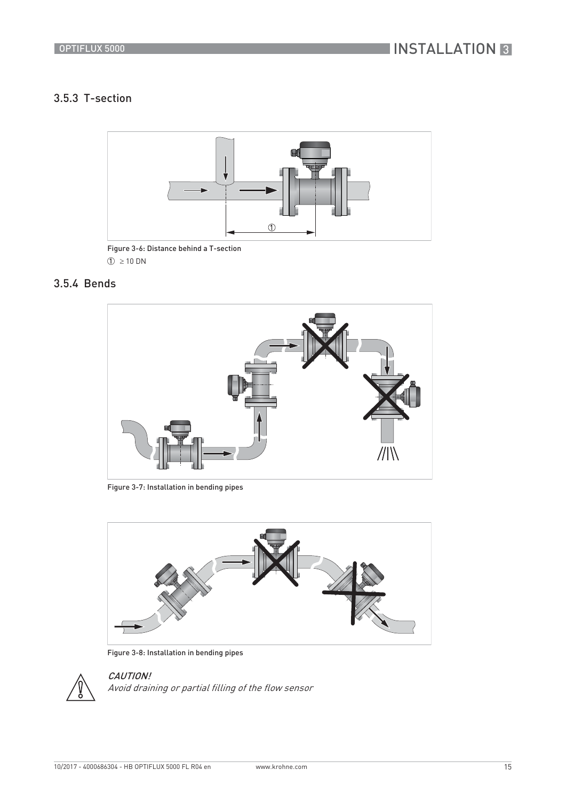# 3.5.3 T-section



Figure 3-6: Distance behind a T-section  $\textcircled{1} \geq 10 \text{ DN}$ 

# 3.5.4 Bends



Figure 3-7: Installation in bending pipes



Figure 3-8: Installation in bending pipes



CAUTION! Avoid draining or partial filling of the flow sensor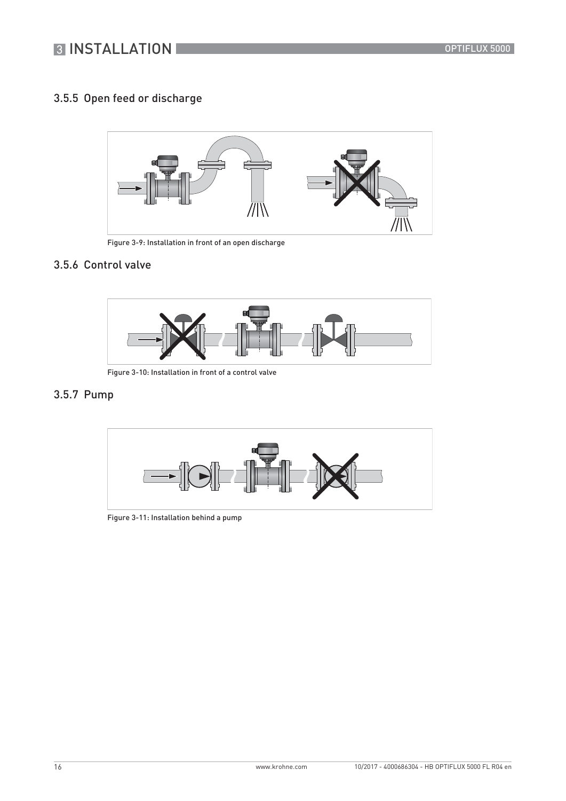# 3.5.5 Open feed or discharge



Figure 3-9: Installation in front of an open discharge

# 3.5.6 Control valve



Figure 3-10: Installation in front of a control valve

# 3.5.7 Pump



Figure 3-11: Installation behind a pump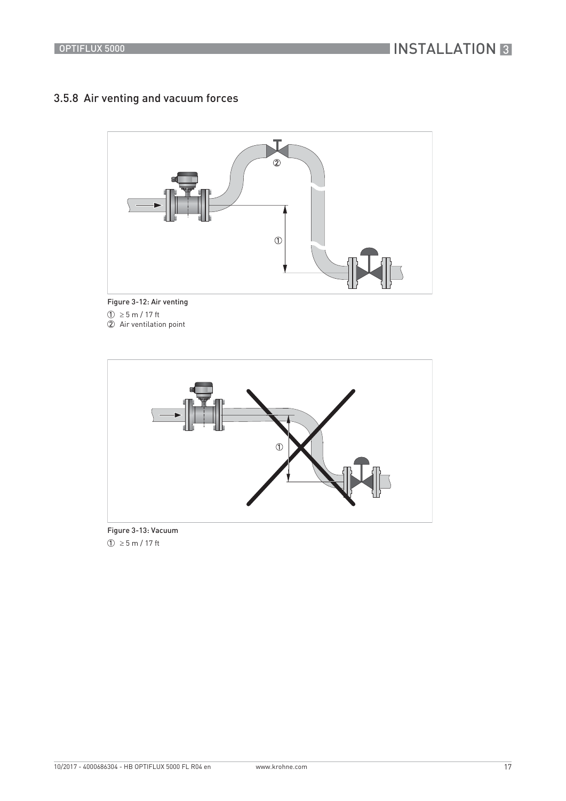# 3.5.8 Air venting and vacuum forces



Figure 3-12: Air venting  $\textcircled{1}\geq$  5 m / 17 ft 2 Air ventilation point



Figure 3-13: Vacuum  $\circled{1} \ge 5$  m / 17 ft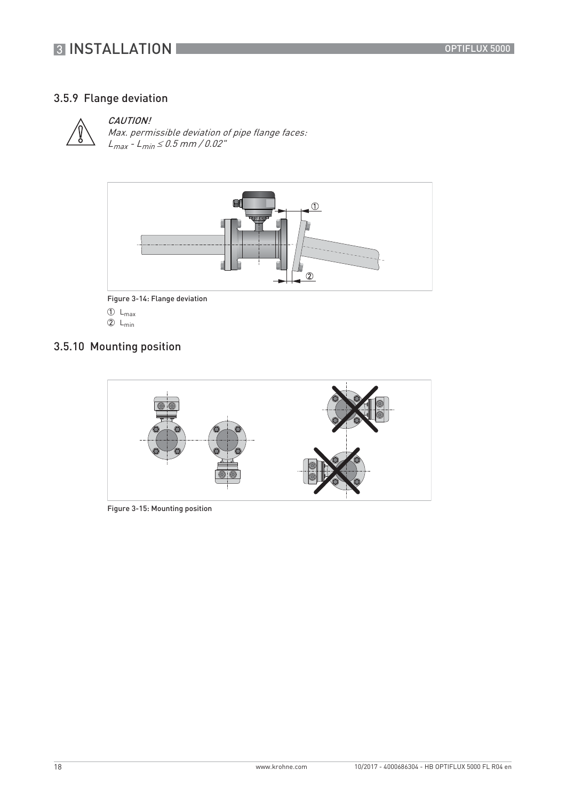# **3 INSTALLATION**

# 3.5.9 Flange deviation



## CAUTION!

Max. permissible deviation of pipe flange faces:  $L_{max}$  -  $L_{min} \leq 0.5$  mm / 0.02"



Figure 3-14: Flange deviation

- $\circled{1}$  L<sub>max</sub>
- $2 L_{min}$

# 3.5.10 Mounting position



Figure 3-15: Mounting position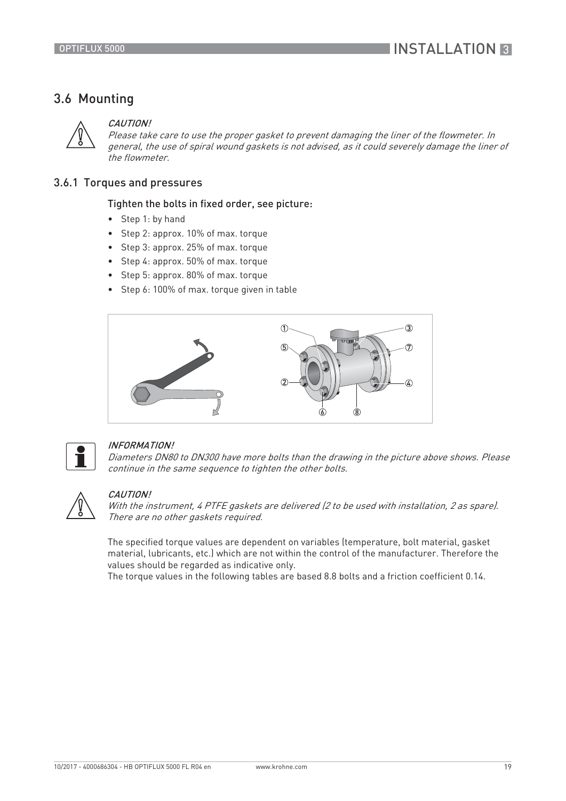# 3.6 Mounting



#### CAUTION!

Please take care to use the proper gasket to prevent damaging the liner of the flowmeter. In general, the use of spiral wound gaskets is not advised, as it could severely damage the liner of the flowmeter.

## 3.6.1 Torques and pressures

## Tighten the bolts in fixed order, see picture:

- Step 1: by hand
- Step 2: approx. 10% of max. torque
- Step 3: approx. 25% of max. torque
- Step 4: approx. 50% of max. torque
- Step 5: approx. 80% of max. torque
- Step 6: 100% of max. torque given in table





## INFORMATION!

Diameters DN80 to DN300 have more bolts than the drawing in the picture above shows. Please continue in the same sequence to tighten the other bolts.



#### CAUTION!

With the instrument, 4 PTFE gaskets are delivered (2 to be used with installation, 2 as spare). There are no other gaskets required.

The specified torque values are dependent on variables (temperature, bolt material, gasket material, lubricants, etc.) which are not within the control of the manufacturer. Therefore the values should be regarded as indicative only.

The torque values in the following tables are based 8.8 bolts and a friction coefficient 0.14.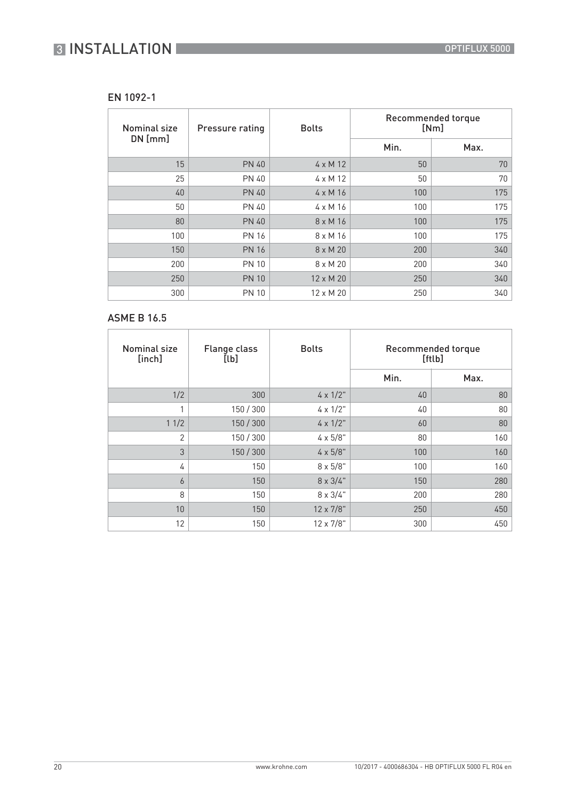## EN 1092-1

| Nominal size | Pressure rating | <b>Bolts</b>     | Recommended torque<br>[Nm] |      |
|--------------|-----------------|------------------|----------------------------|------|
| $DN$ [mm]    |                 |                  | Min.                       | Max. |
| 15           | <b>PN 40</b>    | $4 \times M$ 12  | 50                         | 70   |
| 25           | <b>PN 40</b>    | $4 \times M$ 12  | 50                         | 70   |
| 40           | <b>PN 40</b>    | $4 \times M16$   | 100                        | 175  |
| 50           | <b>PN 40</b>    | $4 \times M16$   | 100                        | 175  |
| 80           | <b>PN 40</b>    | $8 \times M16$   | 100                        | 175  |
| 100          | <b>PN 16</b>    | $8 \times M16$   | 100                        | 175  |
| 150          | <b>PN 16</b>    | $8 \times M$ 20  | 200                        | 340  |
| 200          | <b>PN 10</b>    | $8 \times M$ 20  | 200                        | 340  |
| 250          | <b>PN 10</b>    | $12 \times M$ 20 | 250                        | 340  |
| 300          | <b>PN 10</b>    | $12 \times M$ 20 | 250                        | 340  |

# ASME B 16.5

| <b>Nominal size</b><br>[inch] | <b>Flange class</b><br>[lb] | <b>Bolts</b>      |      | Recommended torque<br>[ftlb] |
|-------------------------------|-----------------------------|-------------------|------|------------------------------|
|                               |                             |                   | Min. | Max.                         |
| 1/2                           | 300                         | $4 \times 1/2$ "  | 40   | 80                           |
|                               | 150 / 300                   | $4 \times 1/2$ "  | 40   | 80                           |
| 11/2                          | 150 / 300                   | $4 \times 1/2$ "  | 60   | 80                           |
| 2                             | 150 / 300                   | $4 \times 5/8"$   | 80   | 160                          |
| 3                             | 150 / 300                   | $4 \times 5/8"$   | 100  | 160                          |
| 4                             | 150                         | $8 \times 5/8"$   | 100  | 160                          |
| 6                             | 150                         | $8 \times 3/4$ "  | 150  | 280                          |
| 8                             | 150                         | $8 \times 3/4$ "  | 200  | 280                          |
| 10                            | 150                         | $12 \times 7/8$ " | 250  | 450                          |
| 12                            | 150                         | 12 x 7/8"         | 300  | 450                          |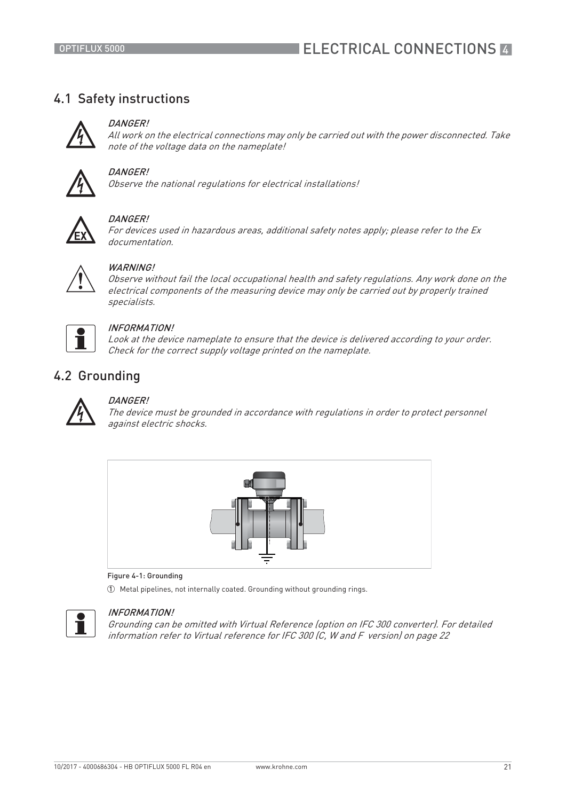# ELECTRICAL CONNECTIONS **44**

# 4.1 Safety instructions



## DANGER!

All work on the electrical connections may only be carried out with the power disconnected. Take note of the voltage data on the nameplate!



## DANGER!

Observe the national regulations for electrical installations!



## DANGER!

For devices used in hazardous areas, additional safety notes apply; please refer to the Ex documentation.

## WARNING<sup>I</sup>

Observe without fail the local occupational health and safety regulations. Any work done on the electrical components of the measuring device may only be carried out by properly trained specialists.



## INFORMATION!

Look at the device nameplate to ensure that the device is delivered according to your order. Check for the correct supply voltage printed on the nameplate.

# 4.2 Grounding



## DANGER!

The device must be grounded in accordance with regulations in order to protect personnel against electric shocks.



#### Figure 4-1: Grounding

1 Metal pipelines, not internally coated. Grounding without grounding rings.



## INFORMATION!

Grounding can be omitted with Virtual Reference (option on IFC 300 converter). For detailed information refer to Virtual reference for IFC 300 (C, W and F version) on page 22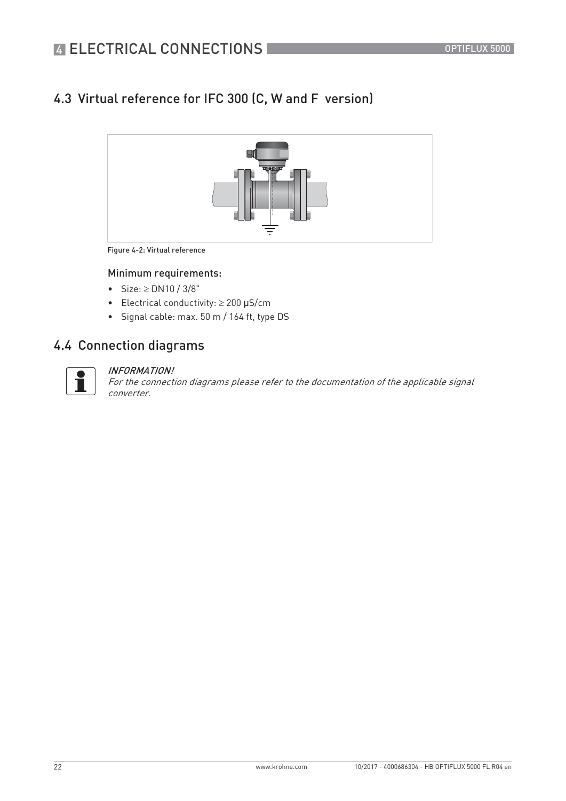# 4.3 Virtual reference for IFC 300 (C, W and F version)



Figure 4-2: Virtual reference

## Minimum requirements:

- Size:  $\ge$  DN10 / 3/8"
- Electrical conductivity:  $\geq 200$  µS/cm
- Signal cable: max. 50 m / 164 ft, type DS

# 4.4 Connection diagrams



#### INFORMATION!

For the connection diagrams please refer to the documentation of the applicable signal converter.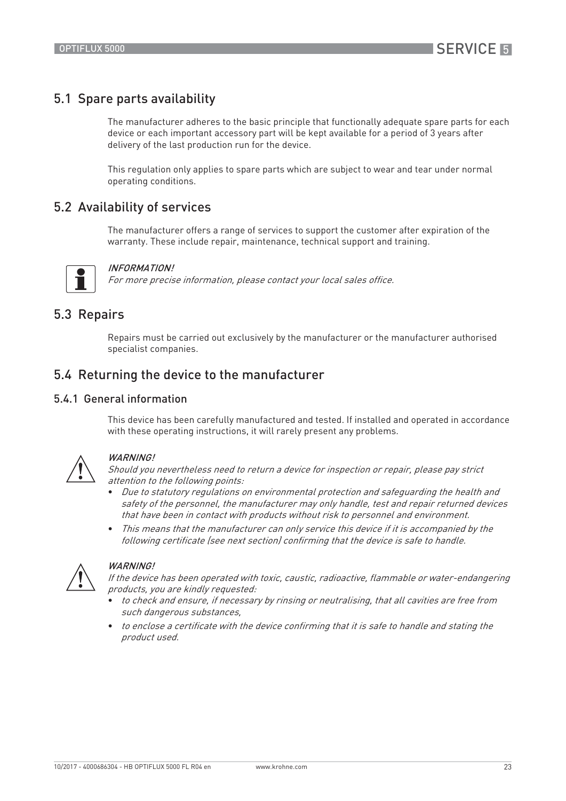# 5.1 Spare parts availability

The manufacturer adheres to the basic principle that functionally adequate spare parts for each device or each important accessory part will be kept available for a period of 3 years after delivery of the last production run for the device.

This regulation only applies to spare parts which are subject to wear and tear under normal operating conditions.

# 5.2 Availability of services

The manufacturer offers a range of services to support the customer after expiration of the warranty. These include repair, maintenance, technical support and training.



#### INFORMATION!

For more precise information, please contact your local sales office.

# 5.3 Repairs

Repairs must be carried out exclusively by the manufacturer or the manufacturer authorised specialist companies.

# 5.4 Returning the device to the manufacturer

## 5.4.1 General information

This device has been carefully manufactured and tested. If installed and operated in accordance with these operating instructions, it will rarely present any problems.



## WARNING!

Should you nevertheless need to return a device for inspection or repair, please pay strict attention to the following points:

- Due to statutory regulations on environmental protection and safeguarding the health and safety of the personnel, the manufacturer may only handle, test and repair returned devices that have been in contact with products without risk to personnel and environment.
- This means that the manufacturer can only service this device if it is accompanied by the following certificate (see next section) confirming that the device is safe to handle.



#### WARNING!

If the device has been operated with toxic, caustic, radioactive, flammable or water-endangering products, you are kindly requested:

- to check and ensure, if necessary by rinsing or neutralising, that all cavities are free from such dangerous substances,
- to enclose a certificate with the device confirming that it is safe to handle and stating the product used.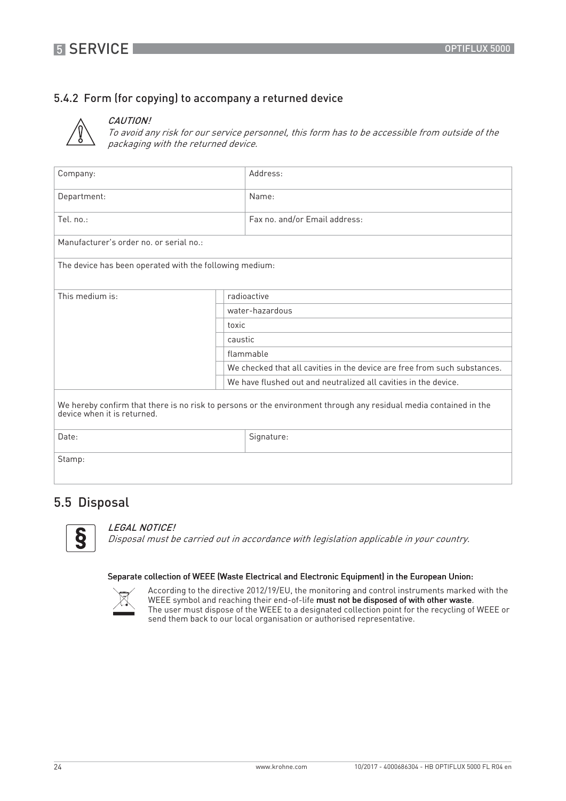# 5.4.2 Form (for copying) to accompany a returned device



# CAUTION!

To avoid any risk for our service personnel, this form has to be accessible from outside of the packaging with the returned device.

| Company:                                                                                                                                         |                                                                 | Address:                                                                  |
|--------------------------------------------------------------------------------------------------------------------------------------------------|-----------------------------------------------------------------|---------------------------------------------------------------------------|
| Department:                                                                                                                                      |                                                                 | Name:                                                                     |
| Tel. no.:                                                                                                                                        |                                                                 | Fax no. and/or Email address:                                             |
| Manufacturer's order no, or serial no.:                                                                                                          |                                                                 |                                                                           |
| The device has been operated with the following medium:                                                                                          |                                                                 |                                                                           |
| This medium is:                                                                                                                                  | radioactive                                                     |                                                                           |
|                                                                                                                                                  |                                                                 | water-hazardous                                                           |
|                                                                                                                                                  | toxic                                                           |                                                                           |
|                                                                                                                                                  | caustic                                                         |                                                                           |
|                                                                                                                                                  | flammable                                                       |                                                                           |
|                                                                                                                                                  |                                                                 | We checked that all cavities in the device are free from such substances. |
|                                                                                                                                                  | We have flushed out and neutralized all cavities in the device. |                                                                           |
| We hereby confirm that there is no risk to persons or the environment through any residual media contained in the<br>device when it is returned. |                                                                 |                                                                           |
| Date:                                                                                                                                            |                                                                 | Signature:                                                                |
| Stamp:                                                                                                                                           |                                                                 |                                                                           |

# 5.5 Disposal



#### LEGAL NOTICE!

Disposal must be carried out in accordance with legislation applicable in your country.

#### Separate collection of WEEE (Waste Electrical and Electronic Equipment) in the European Union:



According to the directive 2012/19/EU, the monitoring and control instruments marked with the WEEE symbol and reaching their end-of-life must not be disposed of with other waste. The user must dispose of the WEEE to a designated collection point for the recycling of WEEE or send them back to our local organisation or authorised representative.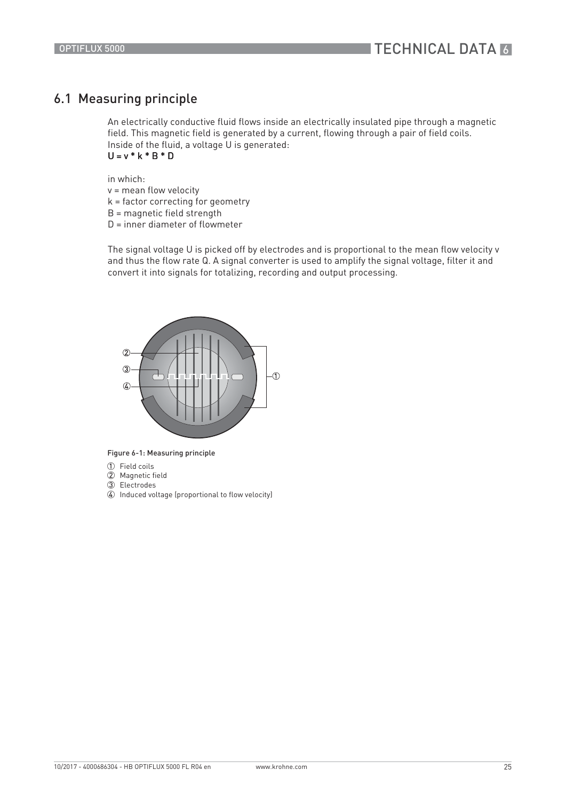# 6.1 Measuring principle

An electrically conductive fluid flows inside an electrically insulated pipe through a magnetic field. This magnetic field is generated by a current, flowing through a pair of field coils. Inside of the fluid, a voltage U is generated:  $U = v * k * B * D$ 

in which: v = mean flow velocity k = factor correcting for geometry B = magnetic field strength

D = inner diameter of flowmeter

The signal voltage U is picked off by electrodes and is proportional to the mean flow velocity v and thus the flow rate Q. A signal converter is used to amplify the signal voltage, filter it and convert it into signals for totalizing, recording and output processing.



Figure 6-1: Measuring principle

- 1 Field coils
- 2 Magnetic field
- 3 Electrodes
- $\widetilde{\Phi}$  Induced voltage (proportional to flow velocity)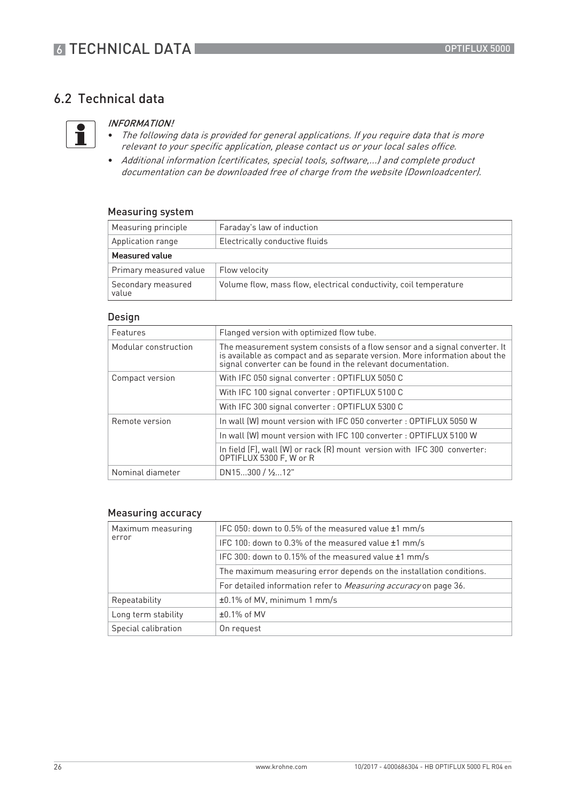# 6.2 Technical data



#### INFORMATION!

- The following data is provided for general applications. If you require data that is more relevant to your specific application, please contact us or your local sales office.
- Additional information (certificates, special tools, software,...) and complete product documentation can be downloaded free of charge from the website (Downloadcenter).

#### Measuring system

| Measuring principle         | Faraday's law of induction                                        |  |  |
|-----------------------------|-------------------------------------------------------------------|--|--|
| Application range           | Electrically conductive fluids                                    |  |  |
| Measured value              |                                                                   |  |  |
| Primary measured value      | Flow velocity                                                     |  |  |
| Secondary measured<br>value | Volume flow, mass flow, electrical conductivity, coil temperature |  |  |

#### Design

| Features             | Flanged version with optimized flow tube.                                                                                                                                                                               |
|----------------------|-------------------------------------------------------------------------------------------------------------------------------------------------------------------------------------------------------------------------|
| Modular construction | The measurement system consists of a flow sensor and a signal converter. It<br>is available as compact and as separate version. More information about the signal converter can be found in the relevant documentation. |
| Compact version      | With IFC 050 signal converter : OPTIFLUX 5050 C                                                                                                                                                                         |
|                      | With IFC 100 signal converter : OPTIFLUX 5100 C                                                                                                                                                                         |
|                      | With IFC 300 signal converter : OPTIFLUX 5300 C                                                                                                                                                                         |
| Remote version       | In wall (W) mount version with IFC 050 converter : OPTIFLUX 5050 W                                                                                                                                                      |
|                      | In wall (W) mount version with IFC 100 converter: OPTIFLUX 5100 W                                                                                                                                                       |
|                      | In field (F), wall (W) or rack (R) mount version with IFC 300 converter:<br>OPTIFLUX 5300 F. W or R                                                                                                                     |
| Nominal diameter     | DN15300 / 1/212"                                                                                                                                                                                                        |

#### Measuring accuracy

| Maximum measuring   | IFC 050: down to 0.5% of the measured value ±1 mm/s                     |  |
|---------------------|-------------------------------------------------------------------------|--|
| error               | IFC 100: down to 0.3% of the measured value $\pm 1$ mm/s                |  |
|                     | IFC 300: down to 0.15% of the measured value $\pm 1$ mm/s               |  |
|                     | The maximum measuring error depends on the installation conditions.     |  |
|                     | For detailed information refer to <i>Measuring accuracy</i> on page 36. |  |
| Repeatability       | ±0.1% of MV, minimum 1 mm/s                                             |  |
| Long term stability | $±0.1\%$ of MV                                                          |  |
| Special calibration | On request                                                              |  |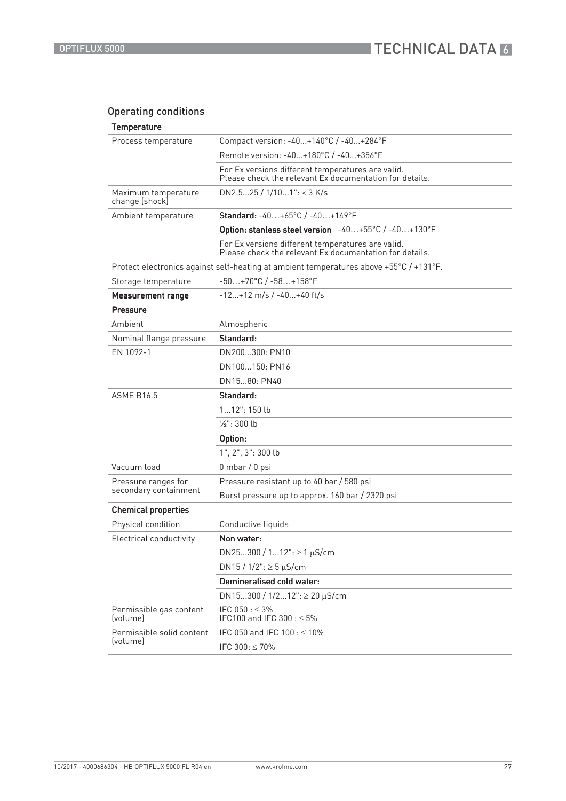# Operating conditions

| <b>Temperature</b>                           |                                                                                                              |  |  |
|----------------------------------------------|--------------------------------------------------------------------------------------------------------------|--|--|
| Process temperature                          | Compact version: -40+140°C / -40+284°F                                                                       |  |  |
|                                              | Remote version: -40+180°C / -40+356°F                                                                        |  |  |
|                                              | For Ex versions different temperatures are valid.<br>Please check the relevant Ex documentation for details. |  |  |
| Maximum temperature<br>change (shock)        | DN2.525 / 1/101": < 3 K/s                                                                                    |  |  |
| Ambient temperature                          | Standard: -40+65°C / -40+149°F                                                                               |  |  |
|                                              | Option: stanless steel version -40+55°C /-40+130°F                                                           |  |  |
|                                              | For Ex versions different temperatures are valid.<br>Please check the relevant Ex documentation for details. |  |  |
|                                              | Protect electronics against self-heating at ambient temperatures above +55°C / +131°F.                       |  |  |
| Storage temperature                          | $-50+70^{\circ}C/ -58+158^{\circ}F$                                                                          |  |  |
| <b>Measurement range</b>                     | $-12+12$ m/s / $-40+40$ ft/s                                                                                 |  |  |
| Pressure                                     |                                                                                                              |  |  |
| Ambient                                      | Atmospheric                                                                                                  |  |  |
| Nominal flange pressure                      | Standard:                                                                                                    |  |  |
| EN 1092-1                                    | DN200300: PN10                                                                                               |  |  |
|                                              | DN100150: PN16                                                                                               |  |  |
|                                              | DN1580: PN40                                                                                                 |  |  |
|                                              |                                                                                                              |  |  |
| <b>ASME B16.5</b>                            | Standard:                                                                                                    |  |  |
|                                              | $112"$ : 150 lb                                                                                              |  |  |
|                                              | $1/2$ ": 300 lb                                                                                              |  |  |
|                                              | Option:                                                                                                      |  |  |
|                                              | 1", 2", 3": 300 lb                                                                                           |  |  |
| Vacuum load                                  | $0$ mbar / $0$ psi                                                                                           |  |  |
| Pressure ranges for                          | Pressure resistant up to 40 bar / 580 psi                                                                    |  |  |
| secondary containment                        | Burst pressure up to approx. 160 bar / 2320 psi                                                              |  |  |
| <b>Chemical properties</b>                   |                                                                                                              |  |  |
| Physical condition                           | Conductive liquids                                                                                           |  |  |
| Electrical conductivity                      | Non water:                                                                                                   |  |  |
|                                              | DN25300 / 112": $\geq$ 1 µS/cm                                                                               |  |  |
|                                              | DN15 / $1/2$ ": $\geq$ 5 µS/cm                                                                               |  |  |
|                                              | Demineralised cold water:                                                                                    |  |  |
|                                              | DN15300 / $1/212$ ": $\geq 20 \mu$ S/cm                                                                      |  |  |
| Permissible gas content<br><i>(volume)</i>   | IFC 050 : $\leq$ 3%<br>IFC100 and IFC 300 : ≤ 5%                                                             |  |  |
| Permissible solid content<br><i>(volume)</i> | IFC 050 and IFC 100 : $\leq$ 10%                                                                             |  |  |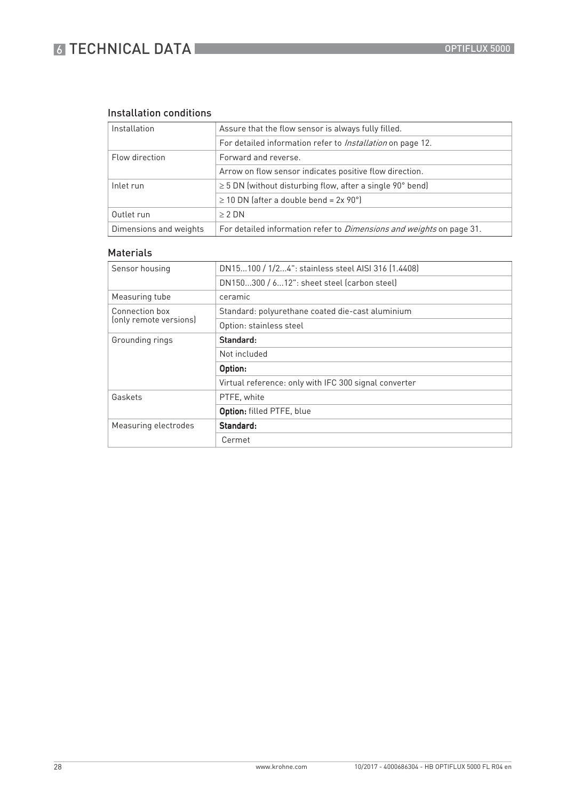# **6 TECHNICAL DATA**

# Installation conditions

| Installation           | Assure that the flow sensor is always fully filled.                         |  |
|------------------------|-----------------------------------------------------------------------------|--|
|                        | For detailed information refer to <i>Installation</i> on page 12.           |  |
| Flow direction         | Forward and reverse.                                                        |  |
|                        | Arrow on flow sensor indicates positive flow direction.                     |  |
| Inlet run              | $\geq$ 5 DN (without disturbing flow, after a single 90 $^{\circ}$ bend)    |  |
|                        | $\geq$ 10 DN (after a double bend = 2x 90°)                                 |  |
| Outlet run             | $\geq 2$ DN                                                                 |  |
| Dimensions and weights | For detailed information refer to <i>Dimensions and weights</i> on page 31. |  |

## Materials

| Sensor housing         | DN15100 / 1/24": stainless steel AISI 316 (1.4408)    |  |  |
|------------------------|-------------------------------------------------------|--|--|
|                        | DN150300 / 612": sheet steel (carbon steel)           |  |  |
| Measuring tube         | ceramic                                               |  |  |
| Connection box         | Standard: polyurethane coated die-cast aluminium      |  |  |
| (only remote versions) | Option: stainless steel                               |  |  |
| Grounding rings        | Standard:                                             |  |  |
|                        | Not included                                          |  |  |
|                        | Option:                                               |  |  |
|                        | Virtual reference: only with IFC 300 signal converter |  |  |
| Gaskets                | PTFE, white                                           |  |  |
|                        | Option: filled PTFE, blue                             |  |  |
| Measuring electrodes   | Standard:                                             |  |  |
|                        | Cermet                                                |  |  |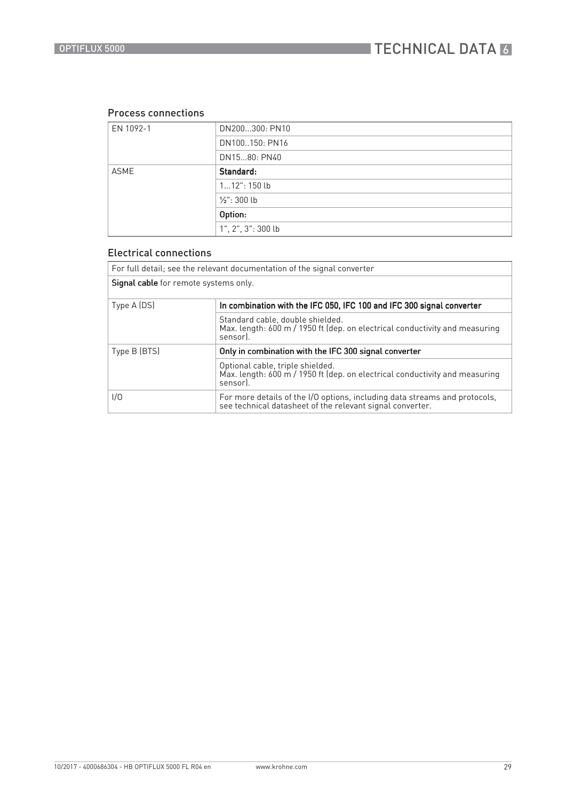## Process connections

| EN 1092-1 | DN200300: PN10              |  |  |
|-----------|-----------------------------|--|--|
|           | DN100150: PN16              |  |  |
|           | DN1580: PN40                |  |  |
| ASME      | Standard:                   |  |  |
|           | $112"$ : 150 lb             |  |  |
|           | $\frac{1}{2}$ : 300 lb      |  |  |
|           | Option:                     |  |  |
|           | $1"$ , $2"$ , $3"$ : 300 lb |  |  |

## Electrical connections

| For full detail; see the relevant documentation of the signal converter |                                                                                                                                         |  |  |  |  |
|-------------------------------------------------------------------------|-----------------------------------------------------------------------------------------------------------------------------------------|--|--|--|--|
| <b>Signal cable</b> for remote systems only.                            |                                                                                                                                         |  |  |  |  |
| Type A (DS)                                                             | In combination with the IFC 050, IFC 100 and IFC 300 signal converter                                                                   |  |  |  |  |
|                                                                         | Standard cable, double shielded.<br>Max. length: 600 m / 1950 ft (dep. on electrical conductivity and measuring<br>sensor).             |  |  |  |  |
| Type B (BTS)                                                            | Only in combination with the IFC 300 signal converter                                                                                   |  |  |  |  |
|                                                                         | Optional cable, triple shielded.<br>Max. length: 600 m / 1950 ft (dep. on electrical conductivity and measuring<br>sensor).             |  |  |  |  |
| 1/0                                                                     | For more details of the I/O options, including data streams and protocols,<br>see technical datasheet of the relevant signal converter. |  |  |  |  |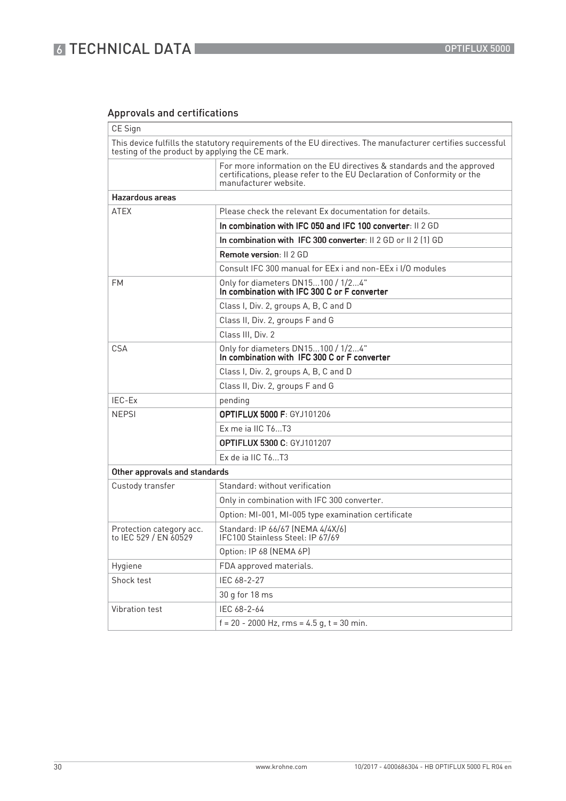# 6 TECHNICAL DATA

# Approvals and certifications

| CE Sign                                           |                                                                                                                                                                            |  |  |  |  |  |
|---------------------------------------------------|----------------------------------------------------------------------------------------------------------------------------------------------------------------------------|--|--|--|--|--|
| testing of the product by applying the CE mark.   | This device fulfills the statutory requirements of the EU directives. The manufacturer certifies successful                                                                |  |  |  |  |  |
|                                                   | For more information on the EU directives & standards and the approved<br>certifications, please refer to the EU Declaration of Conformity or the<br>manufacturer website. |  |  |  |  |  |
| Hazardous areas                                   |                                                                                                                                                                            |  |  |  |  |  |
| <b>ATEX</b>                                       | Please check the relevant Ex documentation for details.                                                                                                                    |  |  |  |  |  |
|                                                   | In combination with IFC 050 and IFC 100 converter: II 2 GD                                                                                                                 |  |  |  |  |  |
|                                                   | In combination with IFC 300 converter: II 2 GD or II 2 (1) GD                                                                                                              |  |  |  |  |  |
|                                                   | <b>Remote version: II 2 GD</b>                                                                                                                                             |  |  |  |  |  |
|                                                   | Consult IFC 300 manual for EEx i and non-EEx i I/O modules                                                                                                                 |  |  |  |  |  |
| FM                                                | Only for diameters DN15100 / 1/24"<br>In combination with IFC 300 C or F converter                                                                                         |  |  |  |  |  |
|                                                   | Class I, Div. 2, groups A, B, C and D                                                                                                                                      |  |  |  |  |  |
|                                                   | Class II, Div. 2, groups F and G                                                                                                                                           |  |  |  |  |  |
|                                                   | Class III, Div. 2                                                                                                                                                          |  |  |  |  |  |
| CSA                                               | Only for diameters DN15100 / 1/24"<br>In combination with IFC 300 C or F converter                                                                                         |  |  |  |  |  |
|                                                   | Class I, Div. 2, groups A, B, C and D                                                                                                                                      |  |  |  |  |  |
|                                                   | Class II, Div. 2, groups F and G                                                                                                                                           |  |  |  |  |  |
| IEC-Ex                                            | pending                                                                                                                                                                    |  |  |  |  |  |
| <b>NEPSI</b>                                      | <b>OPTIFLUX 5000 F: GYJ101206</b>                                                                                                                                          |  |  |  |  |  |
|                                                   | Ex me ja IIC T6T3                                                                                                                                                          |  |  |  |  |  |
|                                                   | <b>OPTIFLUX 5300 C: GYJ101207</b>                                                                                                                                          |  |  |  |  |  |
|                                                   | Ex de ja IIC T6T3                                                                                                                                                          |  |  |  |  |  |
| Other approvals and standards                     |                                                                                                                                                                            |  |  |  |  |  |
| Custody transfer                                  | Standard: without verification                                                                                                                                             |  |  |  |  |  |
|                                                   | Only in combination with IFC 300 converter.                                                                                                                                |  |  |  |  |  |
|                                                   | Option: MI-001, MI-005 type examination certificate                                                                                                                        |  |  |  |  |  |
| Protection category acc.<br>to IEC 529 / EN 60529 | Standard: IP 66/67 (NEMA 4/4X/6)<br>IFC100 Stainless Steel: IP 67/69                                                                                                       |  |  |  |  |  |
|                                                   | Option: IP 68 (NEMA 6P)                                                                                                                                                    |  |  |  |  |  |
| Hygiene                                           | FDA approved materials.                                                                                                                                                    |  |  |  |  |  |
| Shock test                                        | IEC 68-2-27                                                                                                                                                                |  |  |  |  |  |
|                                                   | 30 g for 18 ms                                                                                                                                                             |  |  |  |  |  |
| Vibration test                                    | IEC 68-2-64                                                                                                                                                                |  |  |  |  |  |
|                                                   | $f = 20 - 2000$ Hz, rms = 4.5 g, t = 30 min.                                                                                                                               |  |  |  |  |  |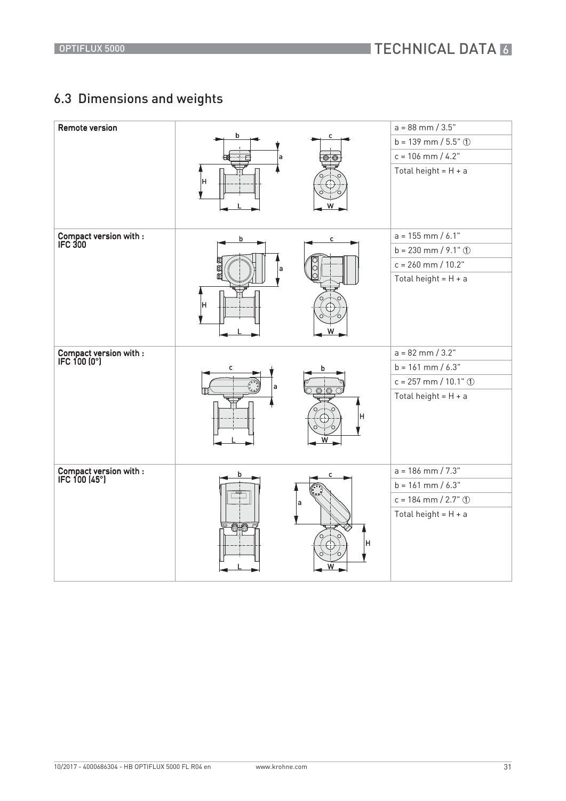# 6.3 Dimensions and weights

| <b>Remote version</b>                   | b<br>a<br>Iн                | c                  | $a = 88$ mm $/ 3.5"$<br>$b = 139$ mm / $5.5$ " ①<br>$c = 106$ mm / 4.2"<br>Total height = $H + a$ |
|-----------------------------------------|-----------------------------|--------------------|---------------------------------------------------------------------------------------------------|
| Compact version with :<br>IFC 300       | $\mathsf b$<br>Œ<br>a<br> H | c<br>W             | $a = 155$ mm / 6.1"<br>$b = 230$ mm / 9.1" ①<br>$c = 260$ mm / $10.2$ "<br>Total height = $H + a$ |
| Compact version with :<br>IFC 100 (0°)  | с<br>a                      | b<br>© ි<br>H<br>W | $a = 82$ mm $/ 3.2"$<br>$b = 161$ mm / 6.3"<br>$c = 257$ mm / 10.1" ①<br>Total height = $H + a$   |
| Compact version with :<br>IFC 100 (45°) | b                           | a<br>н             | $a = 186$ mm $/ 7.3"$<br>$b = 161$ mm / 6.3"<br>$c = 184$ mm / 2.7" ①<br>Total height = $H + a$   |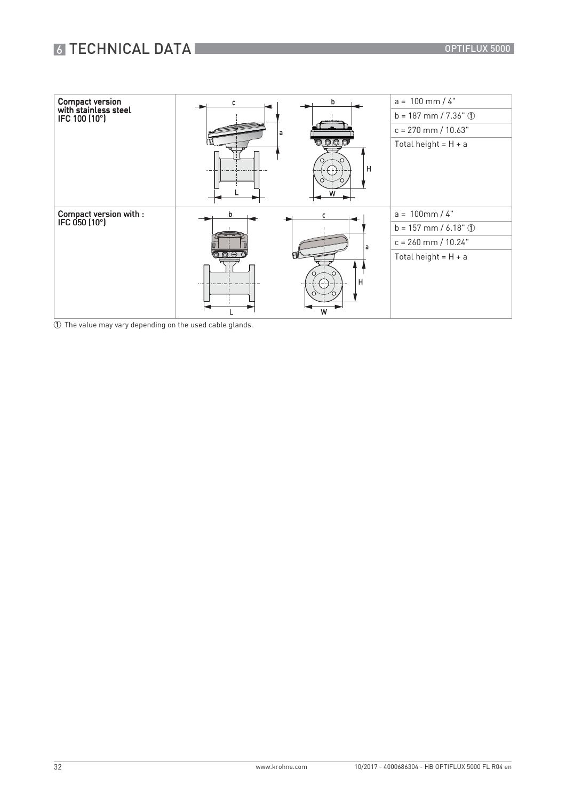# 6 TECHNICAL DATA

| <b>Compact version</b>                  |                         | b                    | $a = 100$ mm / 4"        |
|-----------------------------------------|-------------------------|----------------------|--------------------------|
| with stainless steel<br>IFC 100 (10°)   |                         |                      | $b = 187$ mm / 7.36" ①   |
|                                         | a                       |                      | $c = 270$ mm / $10.63"$  |
|                                         |                         | <u>a a a a </u><br>H | Total height = $H + a$   |
| Compact version with :<br>IFC 050 (10°) | b                       |                      | $100$ mm / 4"<br>$a =$   |
|                                         |                         |                      | $b = 157$ mm / 6.18" ①   |
|                                         |                         | а                    | $c = 260$ mm / $10.24$ " |
|                                         | $\circ$ $\circ$ $\circ$ |                      | Total height = $H + a$   |
|                                         |                         | н                    |                          |

1 The value may vary depending on the used cable glands.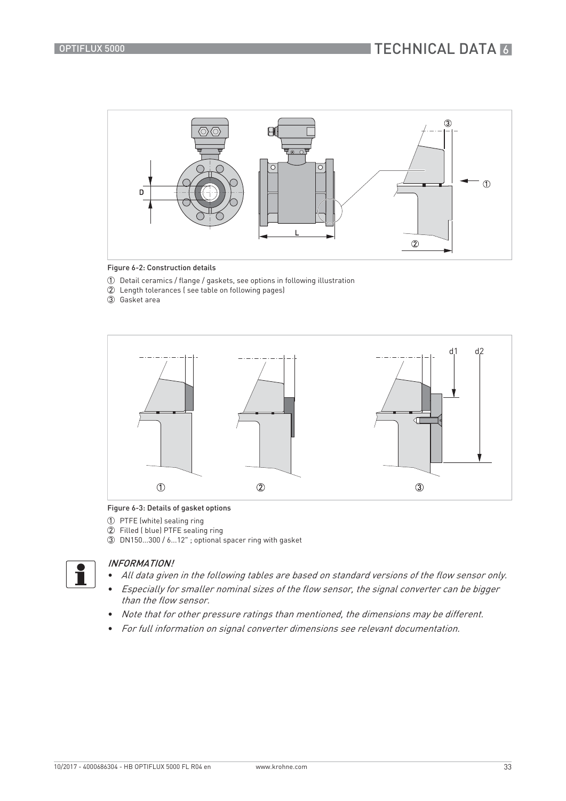



- 1 Detail ceramics / flange / gaskets, see options in following illustration
- 2 Length tolerances ( see table on following pages)
- 3 Gasket area



#### Figure 6-3: Details of gasket options

- 1 PTFE (white) sealing ring
- 2 Filled ( blue) PTFE sealing ring
- 3 DN150...300 / 6...12" ; optional spacer ring with gasket



### INFORMATION!

- All data given in the following tables are based on standard versions of the flow sensor only.
- Especially for smaller nominal sizes of the flow sensor, the signal converter can be bigger than the flow sensor.
- Note that for other pressure ratings than mentioned, the dimensions may be different.
- For full information on signal converter dimensions see relevant documentation.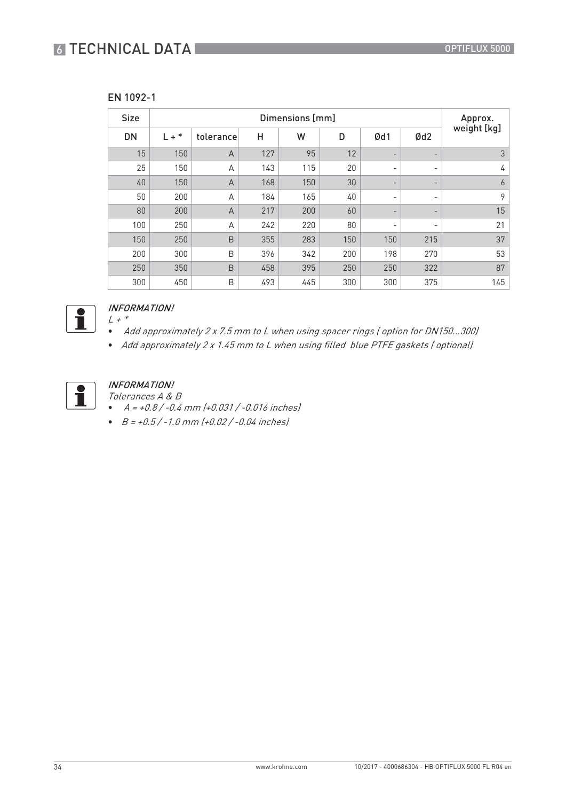# **6 TECHNICAL DATA**

| v | .91<br>U<br>, |
|---|---------------|
|---|---------------|

| <b>Size</b> | Dimensions [mm] |                |     |     |     |                          |     | Approx.     |
|-------------|-----------------|----------------|-----|-----|-----|--------------------------|-----|-------------|
| <b>DN</b>   | $L + *$         | tolerance      | H   | W   | D   | Ød1                      | Qd2 | weight [kg] |
| 15          | 150             | $\overline{A}$ | 127 | 95  | 12  | $\overline{\phantom{a}}$ | -   | 3           |
| 25          | 150             | A              | 143 | 115 | 20  | $\overline{\phantom{a}}$ | -   | 4           |
| 40          | 150             | $\overline{A}$ | 168 | 150 | 30  | $\overline{\phantom{a}}$ | -   | 6           |
| 50          | 200             | A              | 184 | 165 | 40  | $\overline{\phantom{a}}$ | -   | 9           |
| 80          | 200             | $\overline{A}$ | 217 | 200 | 60  | $\overline{\phantom{a}}$ | -   | 15          |
| 100         | 250             | A              | 242 | 220 | 80  | $\overline{\phantom{a}}$ | -   | 21          |
| 150         | 250             | B              | 355 | 283 | 150 | 150                      | 215 | 37          |
| 200         | 300             | B              | 396 | 342 | 200 | 198                      | 270 | 53          |
| 250         | 350             | B              | 458 | 395 | 250 | 250                      | 322 | 87          |
| 300         | 450             | B              | 493 | 445 | 300 | 300                      | 375 | 145         |



#### INFORMATION!  $L$  +  $^\ast$

- Add approximately 2 x 7.5 mm to L when using spacer rings ( option for DN150...300)
- Add approximately 2 x 1.45 mm to L when using filled blue PTFE gaskets ( optional)



# INFORMATION!

Tolerances A & B

- $A = +0.8 / -0.4$  mm  $(+0.031 / -0.016$  inches
- $B = +0.5 / -1.0$  mm  $(+0.02 / -0.04$  inches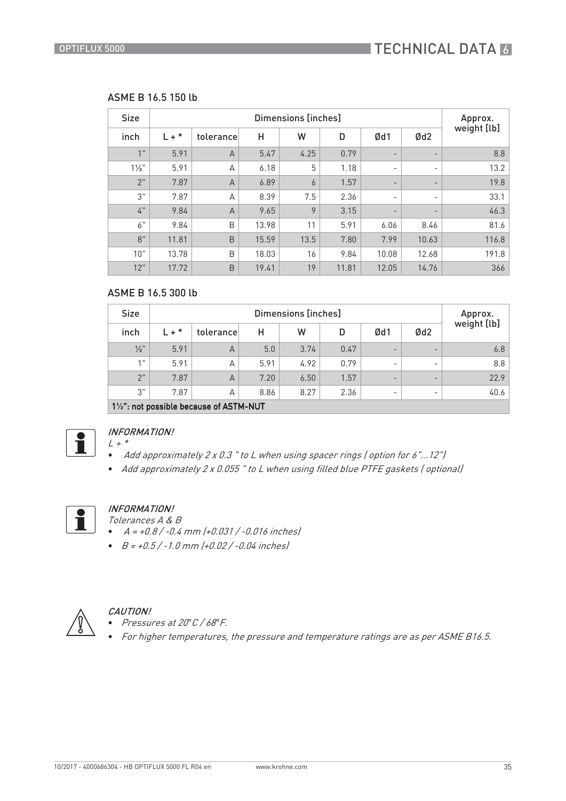## ASME B 16.5 150 lb

| <b>Size</b>      | Dimensions [inches] |                |       |                |       |                          |                          | Approx.     |
|------------------|---------------------|----------------|-------|----------------|-------|--------------------------|--------------------------|-------------|
| inch             | $L + *$             | tolerance      | Η     | W              | D     | Ød1                      | Ød <sub>2</sub>          | weight [lb] |
| 1"               | 5.91                | $\overline{A}$ | 5.47  | 4.25           | 0.79  | $\overline{\phantom{a}}$ | $\overline{\phantom{a}}$ | 8.8         |
| $1\frac{1}{2}$ " | 5.91                | A              | 6.18  | 5              | 1.18  | $\overline{\phantom{a}}$ | $\overline{\phantom{a}}$ | 13.2        |
| 2"               | 7.87                | $\overline{A}$ | 6.89  | $\overline{6}$ | 1.57  | $\overline{\phantom{a}}$ | $\overline{\phantom{a}}$ | 19.8        |
| 3"               | 7.87                | A              | 8.39  | 7.5            | 2.36  | $\overline{\phantom{a}}$ | $\overline{\phantom{a}}$ | 33.1        |
| 4"               | 9.84                | $\overline{A}$ | 9.65  | 9              | 3.15  | $\overline{\phantom{a}}$ | $\overline{\phantom{a}}$ | 46.3        |
| 6"               | 9.84                | B              | 13.98 | 11             | 5.91  | 6.06                     | 8.46                     | 81.6        |
| 8"               | 11.81               | $\mathsf B$    | 15.59 | 13.5           | 7.80  | 7.99                     | 10.63                    | 116.8       |
| 10"              | 13.78               | B              | 18.03 | 16             | 9.84  | 10.08                    | 12.68                    | 191.8       |
| 12"              | 17.72               | B              | 19.41 | 19             | 11.81 | 12.05                    | 14.76                    | 366         |

## ASME B 16.5 300 lb

| <b>Size</b>     | Dimensions [inches]                             |                |      |      |      |                          |                          | Approx.     |
|-----------------|-------------------------------------------------|----------------|------|------|------|--------------------------|--------------------------|-------------|
| inch            | $L + *$                                         | tolerance      | Н    | W    | D    | Ød1                      | Ød <sub>2</sub>          | weight [lb] |
| $\frac{1}{2}$ " | 5.91                                            | $\overline{A}$ | 5.0  | 3.74 | 0.47 | $\overline{\phantom{0}}$ | $\overline{\phantom{0}}$ | 6.8         |
| 4H              | 5.91                                            | A              | 5.91 | 4.92 | 0.79 | $\overline{\phantom{0}}$ | $\overline{\phantom{0}}$ | 8.8         |
| 2"              | 7.87                                            | $\overline{A}$ | 7.20 | 6.50 | 1.57 | $\overline{\phantom{0}}$ | $\overline{\phantom{0}}$ | 22.9        |
| 3"              | 7.87                                            | A              | 8.86 | 8.27 | 2.36 | $\overline{\phantom{0}}$ | $\overline{\phantom{0}}$ | 40.6        |
|                 | $1\frac{1}{2}$ not possible because of ASTM-NUT |                |      |      |      |                          |                          |             |

| 1½ : not po



#### INFORMATION!  $L + *$

- Add approximately 2 x 0.3 " to L when using spacer rings ( option for 6"...12")
- Add approximately 2 x 0.055 " to L when using filled blue PTFE gaskets ( optional)



## INFORMATION!

- Tolerances A & B
- $A = +0.8 / -0.4$  mm  $(+0.031 / -0.016$  inches
- $\bullet$   $B = +0.5 / -1.0$  mm  $(+0.02 / -0.04$  inches



## CAUTION!

- Pressures at 20*°*C / 68*°*F.
- For higher temperatures, the pressure and temperature ratings are as per ASME B16.5.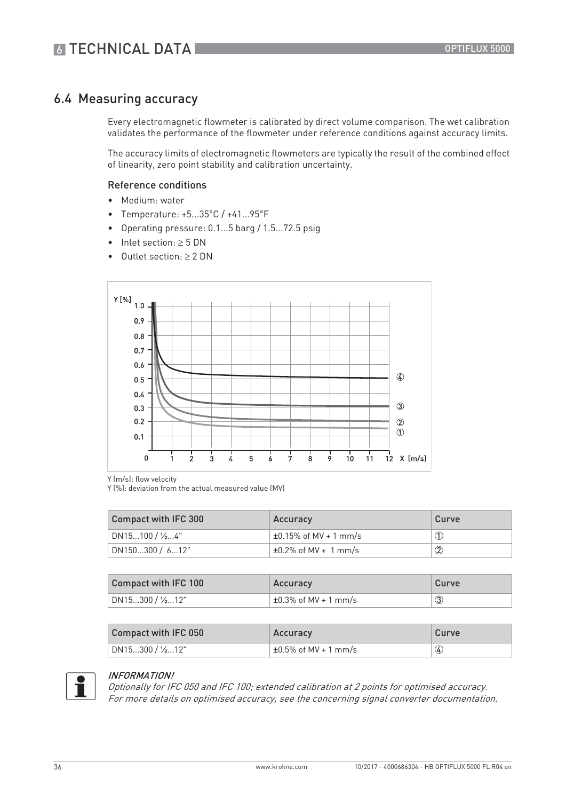# 6.4 Measuring accuracy

Every electromagnetic flowmeter is calibrated by direct volume comparison. The wet calibration validates the performance of the flowmeter under reference conditions against accuracy limits.

The accuracy limits of electromagnetic flowmeters are typically the result of the combined effect of linearity, zero point stability and calibration uncertainty.

#### Reference conditions

- Medium: water
- Temperature: +5...35°C / +41...95°F
- Operating pressure: 0.1...5 barg / 1.5...72.5 psig
- Inlet section:  $\geq 5$  DN
- Outlet section:  $\geq 2$  DN



Y [m/s]: flow velocity

Y [%]: deviation from the actual measured value (MV)

| Compact with IFC 300 | Accuracy                   | Curve             |
|----------------------|----------------------------|-------------------|
| DN15100 / ½4"        | $±0.15\%$ of MV + 1 mm/s   |                   |
| DN150300 / 612"      | $\pm 0.2\%$ of MV + 1 mm/s | $^\mathrm{\odot}$ |

| Compact with IFC 100 | Accuracy                                     | Curve |
|----------------------|----------------------------------------------|-------|
| DN15…300 / ½…12"     | $^{\prime}$ ±0.3% of MV + 1 mm/s $^{\prime}$ | G)    |

| Compact with IFC 050 | Accuracy                   | Curve |
|----------------------|----------------------------|-------|
| DN15…300 / ½…12"     | $\pm 0.5\%$ of MV + 1 mm/s | ♦     |



#### INFORMATION!

Optionally for IFC 050 and IFC 100; extended calibration at 2 points for optimised accuracy. For more details on optimised accuracy, see the concerning signal converter documentation.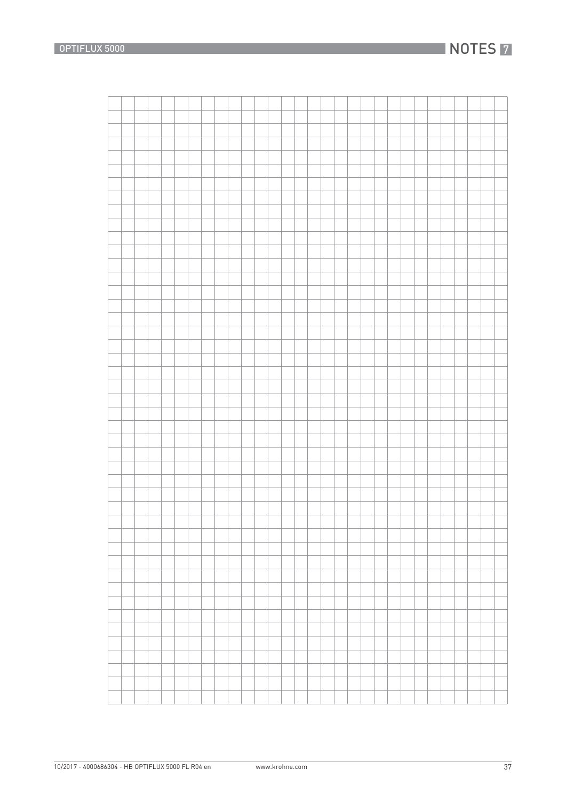# **NOTES 7**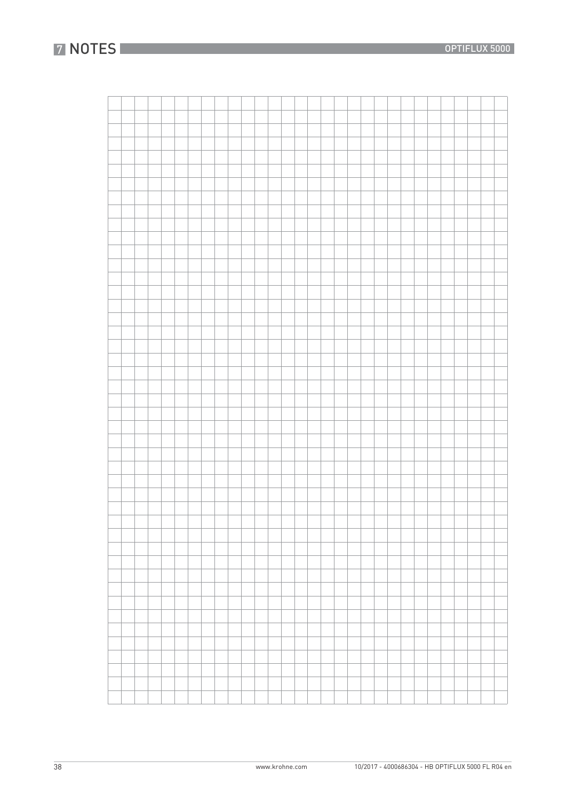38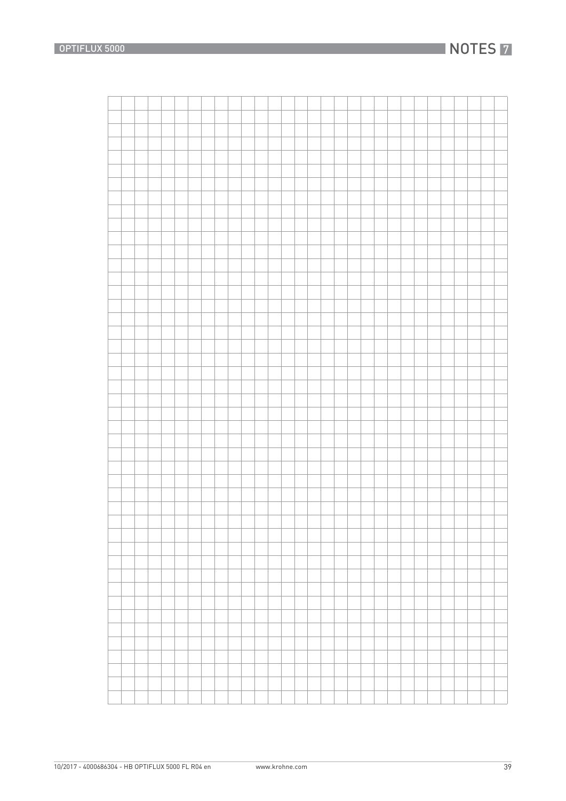# **NOTES 7**